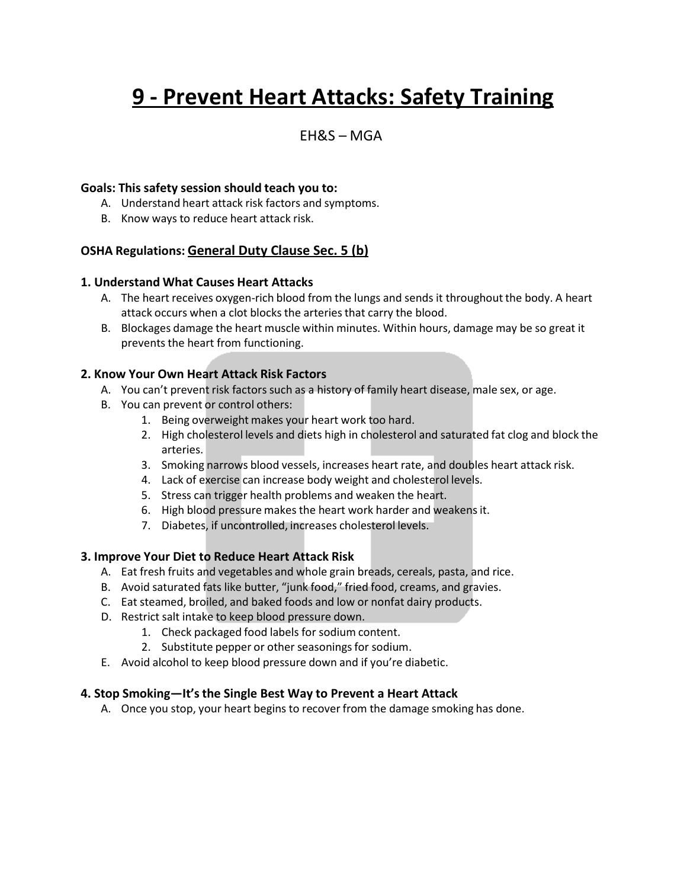# **9 - Prevent Heart Attacks: Safety Training**

### $FHRS - MGA$

#### **Goals: This safety session should teach you to:**

- A. Understand heart attack risk factors and symptoms.
- B. Know ways to reduce heart attack risk.

#### **OSHA Regulations: General Duty Clause Sec. 5 (b)**

#### **1. Understand What Causes Heart Attacks**

- A. The heart receives oxygen-rich blood from the lungs and sends it throughout the body. A heart attack occurs when a clot blocks the arteries that carry the blood.
- B. Blockages damage the heart muscle within minutes. Within hours, damage may be so great it prevents the heart from functioning.

#### **2. Know Your Own Heart Attack Risk Factors**

- A. You can't prevent risk factors such as a history of family heart disease, male sex, or age.
- B. You can prevent or control others:
	- 1. Being overweight makes your heart work too hard.
	- 2. High cholesterol levels and diets high in cholesterol and saturated fat clog and block the arteries.
	- 3. Smoking narrows blood vessels, increases heart rate, and doubles heart attack risk.
	- 4. Lack of exercise can increase body weight and cholesterol levels.
	- 5. Stress can trigger health problems and weaken the heart.
	- 6. High blood pressure makes the heart work harder and weakensit.
	- 7. Diabetes, if uncontrolled, increases cholesterol levels.

#### **3. Improve Your Diet to Reduce Heart Attack Risk**

- A. Eat fresh fruits and vegetables and whole grain breads, cereals, pasta, and rice.
- B. Avoid saturated fats like butter, "junk food," fried food, creams, and gravies.
- C. Eat steamed, broiled, and baked foods and low or nonfat dairy products.
- D. Restrict salt intake to keep blood pressure down.
	- 1. Check packaged food labels for sodium content.
	- 2. Substitute pepper or other seasonings for sodium.
- E. Avoid alcohol to keep blood pressure down and if you're diabetic.

#### **4. Stop Smoking—It'sthe Single Best Way to Prevent a Heart Attack**

A. Once you stop, your heart begins to recover from the damage smoking has done.